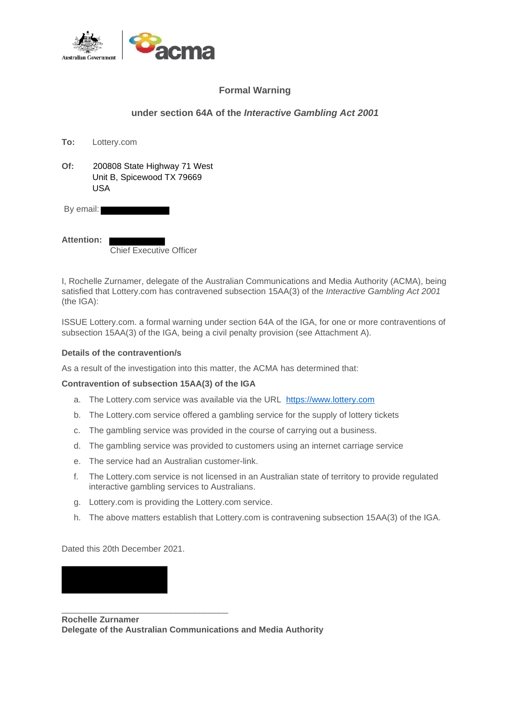

# **Formal Warning**

## **under section 64A of the** *Interactive Gambling Act 2001*

| To:       | Lottery.com                                                       |
|-----------|-------------------------------------------------------------------|
| Of:       | 200808 State Highway 71 West<br>Unit B, Spicewood TX 79669<br>USA |
| By email: |                                                                   |

Chief Executive Officer

I, Rochelle Zurnamer, delegate of the Australian Communications and Media Authority (ACMA), being satisfied that Lottery.com has contravened subsection 15AA(3) of the *Interactive Gambling Act 2001*  (the IGA):

ISSUE Lottery.com. a formal warning under section 64A of the IGA, for one or more contraventions of subsection 15AA(3) of the IGA, being a civil penalty provision (see Attachment A).

## **Details of the contravention/s**

**Attention:**

As a result of the investigation into this matter, the ACMA has determined that:

## **Contravention of subsection 15AA(3) of the IGA**

- a. The Lottery.com service was available via the URL [https://www.lottery.com](https://www.lottery.com/)
- b. The Lottery.com service offered a gambling service for the supply of lottery tickets
- c. The gambling service was provided in the course of carrying out a business.
- d. The gambling service was provided to customers using an internet carriage service
- e. The service had an Australian customer-link.
- f. The Lottery.com service is not licensed in an Australian state of territory to provide regulated interactive gambling services to Australians.
- g. Lottery.com is providing the Lottery.com service.
- h. The above matters establish that Lottery.com is contravening subsection 15AA(3) of the IGA.

Dated this 20th December 2021.

\_\_\_\_\_\_\_\_\_\_\_\_\_\_\_\_\_\_\_\_\_\_\_\_\_\_\_\_\_\_\_\_\_\_\_ **Rochelle Zurnamer Delegate of the Australian Communications and Media Authority**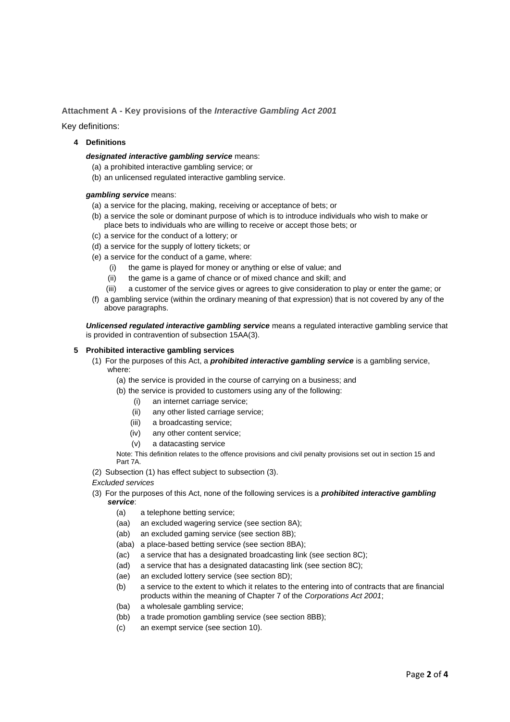### **Attachment A - Key provisions of the** *Interactive Gambling Act 2001*

Key definitions:

### **4 Definitions**

#### *designated interactive gambling service* means:

- (a) a prohibited interactive gambling service; or
- (b) an unlicensed regulated interactive gambling service.

#### *gambling service* means:

- (a) a service for the placing, making, receiving or acceptance of bets; or
- (b) a service the sole or dominant purpose of which is to introduce individuals who wish to make or place bets to individuals who are willing to receive or accept those bets; or
- (c) a service for the conduct of a lottery; or
- (d) a service for the supply of lottery tickets; or
- (e) a service for the conduct of a game, where:
	- (i) the game is played for money or anything or else of value; and
	- (ii) the game is a game of chance or of mixed chance and skill; and
	- (iii) a customer of the service gives or agrees to give consideration to play or enter the game; or
- (f) a gambling service (within the ordinary meaning of that expression) that is not covered by any of the above paragraphs.

*Unlicensed regulated interactive gambling service* means a regulated interactive gambling service that is provided in contravention of subsection 15AA(3).

#### **5 Prohibited interactive gambling services**

- (1) For the purposes of this Act, a *prohibited interactive gambling service* is a gambling service, where:
	- (a) the service is provided in the course of carrying on a business; and
	- (b) the service is provided to customers using any of the following:
		- (i) an internet carriage service;
		- (ii) any other listed carriage service;
		- (iii) a broadcasting service;
		- (iv) any other content service;
		- (v) a datacasting service

Note: This definition relates to the offence provisions and civil penalty provisions set out in section 15 and Part 7A.

- (2) Subsection (1) has effect subject to subsection (3).
- *Excluded services*
- (3) For the purposes of this Act, none of the following services is a *prohibited interactive gambling service*:
	- (a) a telephone betting service;
	- (aa) an excluded wagering service (see section 8A);
	- (ab) an excluded gaming service (see section 8B);
	- (aba) a place-based betting service (see section 8BA);
	- (ac) a service that has a designated broadcasting link (see section 8C);
	- (ad) a service that has a designated datacasting link (see section 8C);
	- (ae) an excluded lottery service (see section 8D);
	- (b) a service to the extent to which it relates to the entering into of contracts that are financial products within the meaning of Chapter 7 of the *Corporations Act 2001*;
	- (ba) a wholesale gambling service;
	- (bb) a trade promotion gambling service (see section 8BB);
	- (c) an exempt service (see section 10).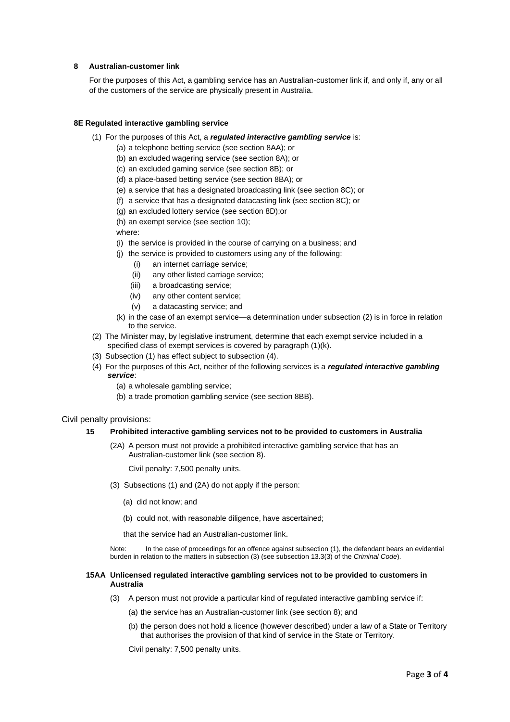#### **8 Australian-customer link**

For the purposes of this Act, a gambling service has an Australian-customer link if, and only if, any or all of the customers of the service are physically present in Australia.

#### **8E Regulated interactive gambling service**

- (1) For the purposes of this Act, a *regulated interactive gambling service* is:
	- (a) a telephone betting service (see section 8AA); or
	- (b) an excluded wagering service (see section 8A); or
	- (c) an excluded gaming service (see section 8B); or
	- (d) a place-based betting service (see section 8BA); or
	- (e) a service that has a designated broadcasting link (see section 8C); or
	- (f) a service that has a designated datacasting link (see section 8C); or
	- (g) an excluded lottery service (see section 8D);or
	- (h) an exempt service (see section 10);

where:

- (i) the service is provided in the course of carrying on a business; and
- (j) the service is provided to customers using any of the following:
	- (i) an internet carriage service;
	- (ii) any other listed carriage service;
	- (iii) a broadcasting service;
	- (iv) any other content service;
	- (v) a datacasting service; and
- (k) in the case of an exempt service—a determination under subsection (2) is in force in relation to the service.
- (2) The Minister may, by legislative instrument, determine that each exempt service included in a specified class of exempt services is covered by paragraph (1)(k).
- (3) Subsection (1) has effect subject to subsection (4).
- (4) For the purposes of this Act, neither of the following services is a *regulated interactive gambling service*:
	- (a) a wholesale gambling service;
	- (b) a trade promotion gambling service (see section 8BB).

#### Civil penalty provisions:

#### **15 Prohibited interactive gambling services not to be provided to customers in Australia**

(2A) A person must not provide a prohibited interactive gambling service that has an Australian-customer link (see section 8).

Civil penalty: 7,500 penalty units.

- (3) Subsections (1) and (2A) do not apply if the person:
	- (a) did not know; and
	- (b) could not, with reasonable diligence, have ascertained;

that the service had an Australian-customer link.

Note: In the case of proceedings for an offence against subsection (1), the defendant bears an evidential burden in relation to the matters in subsection (3) (see subsection 13.3(3) of the *Criminal Code*).

#### **15AA Unlicensed regulated interactive gambling services not to be provided to customers in Australia**

- (3) A person must not provide a particular kind of regulated interactive gambling service if:
	- (a) the service has an Australian-customer link (see section 8); and
	- (b) the person does not hold a licence (however described) under a law of a State or Territory that authorises the provision of that kind of service in the State or Territory.

Civil penalty: 7,500 penalty units.